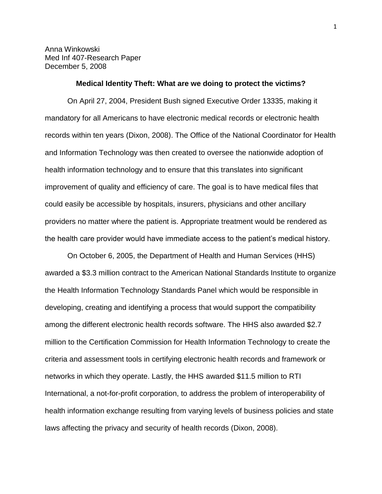Anna Winkowski Med Inf 407-Research Paper December 5, 2008

#### **Medical Identity Theft: What are we doing to protect the victims?**

On April 27, 2004, President Bush signed Executive Order 13335, making it mandatory for all Americans to have electronic medical records or electronic health records within ten years (Dixon, 2008). The Office of the National Coordinator for Health and Information Technology was then created to oversee the nationwide adoption of health information technology and to ensure that this translates into significant improvement of quality and efficiency of care. The goal is to have medical files that could easily be accessible by hospitals, insurers, physicians and other ancillary providers no matter where the patient is. Appropriate treatment would be rendered as the health care provider would have immediate access to the patient's medical history.

On October 6, 2005, the Department of Health and Human Services (HHS) awarded a \$3.3 million contract to the American National Standards Institute to organize the Health Information Technology Standards Panel which would be responsible in developing, creating and identifying a process that would support the compatibility among the different electronic health records software. The HHS also awarded \$2.7 million to the Certification Commission for Health Information Technology to create the criteria and assessment tools in certifying electronic health records and framework or networks in which they operate. Lastly, the HHS awarded \$11.5 million to RTI International, a not-for-profit corporation, to address the problem of interoperability of health information exchange resulting from varying levels of business policies and state laws affecting the privacy and security of health records (Dixon, 2008).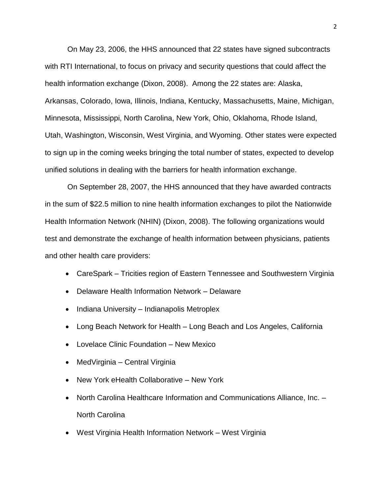On May 23, 2006, the HHS announced that 22 states have signed subcontracts with RTI International, to focus on privacy and security questions that could affect the health information exchange (Dixon, 2008). Among the 22 states are: Alaska, Arkansas, Colorado, Iowa, Illinois, Indiana, Kentucky, Massachusetts, Maine, Michigan, Minnesota, Mississippi, North Carolina, New York, Ohio, Oklahoma, Rhode Island, Utah, Washington, Wisconsin, West Virginia, and Wyoming. Other states were expected to sign up in the coming weeks bringing the total number of states, expected to develop unified solutions in dealing with the barriers for health information exchange.

On September 28, 2007, the HHS announced that they have awarded contracts in the sum of \$22.5 million to nine health information exchanges to pilot the Nationwide Health Information Network (NHIN) (Dixon, 2008). The following organizations would test and demonstrate the exchange of health information between physicians, patients and other health care providers:

- CareSpark Tricities region of Eastern Tennessee and Southwestern Virginia
- Delaware Health Information Network Delaware
- Indiana University Indianapolis Metroplex
- Long Beach Network for Health Long Beach and Los Angeles, California
- Lovelace Clinic Foundation New Mexico
- MedVirginia Central Virginia
- New York eHealth Collaborative New York
- North Carolina Healthcare Information and Communications Alliance, Inc. North Carolina
- West Virginia Health Information Network West Virginia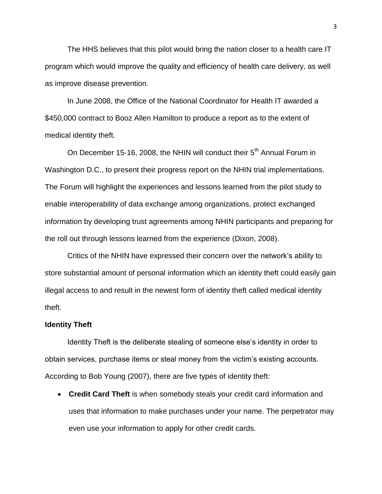The HHS believes that this pilot would bring the nation closer to a health care IT program which would improve the quality and efficiency of health care delivery, as well as improve disease prevention.

In June 2008, the Office of the National Coordinator for Health IT awarded a \$450,000 contract to Booz Allen Hamilton to produce a report as to the extent of medical identity theft.

On December 15-16, 2008, the NHIN will conduct their 5<sup>th</sup> Annual Forum in Washington D.C., to present their progress report on the NHIN trial implementations. The Forum will highlight the experiences and lessons learned from the pilot study to enable interoperability of data exchange among organizations, protect exchanged information by developing trust agreements among NHIN participants and preparing for the roll out through lessons learned from the experience (Dixon, 2008).

Critics of the NHIN have expressed their concern over the network's ability to store substantial amount of personal information which an identity theft could easily gain illegal access to and result in the newest form of identity theft called medical identity theft.

#### **Identity Theft**

Identity Theft is the deliberate stealing of someone else's identity in order to obtain services, purchase items or steal money from the victim's existing accounts. According to Bob Young (2007), there are five types of identity theft:

 **Credit Card Theft** is when somebody steals your credit card information and uses that information to make purchases under your name. The perpetrator may even use your information to apply for other credit cards.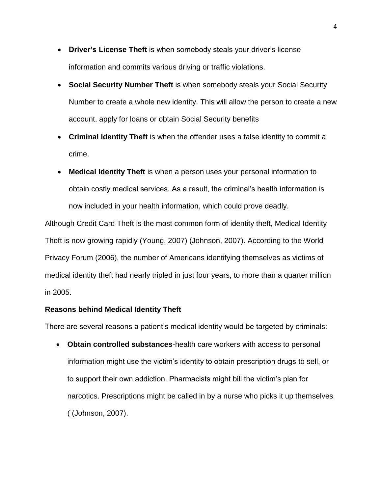- **Driver's License Theft** is when somebody steals your driver's license information and commits various driving or traffic violations.
- **Social Security Number Theft** is when somebody steals your Social Security Number to create a whole new identity. This will allow the person to create a new account, apply for loans or obtain Social Security benefits
- **Criminal Identity Theft** is when the offender uses a false identity to commit a crime.
- **Medical Identity Theft** is when a person uses your personal information to obtain costly medical services. As a result, the criminal's health information is now included in your health information, which could prove deadly.

Although Credit Card Theft is the most common form of identity theft, Medical Identity Theft is now growing rapidly (Young, 2007) (Johnson, 2007). According to the World Privacy Forum (2006), the number of Americans identifying themselves as victims of medical identity theft had nearly tripled in just four years, to more than a quarter million in 2005.

### **Reasons behind Medical Identity Theft**

There are several reasons a patient's medical identity would be targeted by criminals:

 **Obtain controlled substances**-health care workers with access to personal information might use the victim's identity to obtain prescription drugs to sell, or to support their own addiction. Pharmacists might bill the victim's plan for narcotics. Prescriptions might be called in by a nurse who picks it up themselves ( (Johnson, 2007).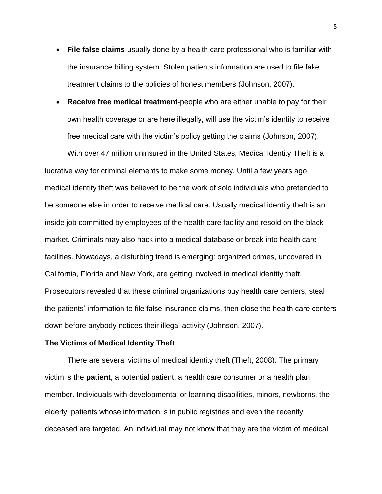- **File false claims**-usually done by a health care professional who is familiar with the insurance billing system. Stolen patients information are used to file fake treatment claims to the policies of honest members (Johnson, 2007).
- **Receive free medical treatment**-people who are either unable to pay for their own health coverage or are here illegally, will use the victim's identity to receive free medical care with the victim's policy getting the claims (Johnson, 2007).

With over 47 million uninsured in the United States, Medical Identity Theft is a lucrative way for criminal elements to make some money. Until a few years ago, medical identity theft was believed to be the work of solo individuals who pretended to be someone else in order to receive medical care. Usually medical identity theft is an inside job committed by employees of the health care facility and resold on the black market. Criminals may also hack into a medical database or break into health care facilities. Nowadays, a disturbing trend is emerging: organized crimes, uncovered in California, Florida and New York, are getting involved in medical identity theft. Prosecutors revealed that these criminal organizations buy health care centers, steal the patients' information to file false insurance claims, then close the health care centers down before anybody notices their illegal activity (Johnson, 2007).

### **The Victims of Medical Identity Theft**

There are several victims of medical identity theft (Theft, 2008). The primary victim is the **patient**, a potential patient, a health care consumer or a health plan member. Individuals with developmental or learning disabilities, minors, newborns, the elderly, patients whose information is in public registries and even the recently deceased are targeted. An individual may not know that they are the victim of medical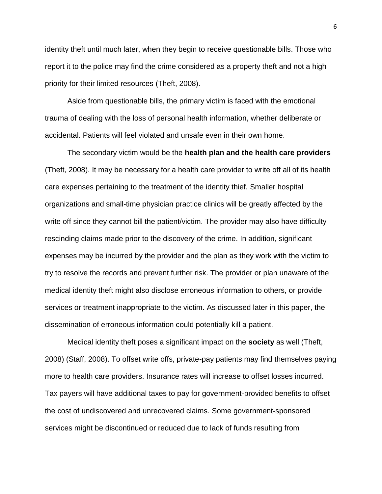identity theft until much later, when they begin to receive questionable bills. Those who report it to the police may find the crime considered as a property theft and not a high priority for their limited resources (Theft, 2008).

Aside from questionable bills, the primary victim is faced with the emotional trauma of dealing with the loss of personal health information, whether deliberate or accidental. Patients will feel violated and unsafe even in their own home.

The secondary victim would be the **health plan and the health care providers** (Theft, 2008). It may be necessary for a health care provider to write off all of its health care expenses pertaining to the treatment of the identity thief. Smaller hospital organizations and small-time physician practice clinics will be greatly affected by the write off since they cannot bill the patient/victim. The provider may also have difficulty rescinding claims made prior to the discovery of the crime. In addition, significant expenses may be incurred by the provider and the plan as they work with the victim to try to resolve the records and prevent further risk. The provider or plan unaware of the medical identity theft might also disclose erroneous information to others, or provide services or treatment inappropriate to the victim. As discussed later in this paper, the dissemination of erroneous information could potentially kill a patient.

Medical identity theft poses a significant impact on the **society** as well (Theft, 2008) (Staff, 2008). To offset write offs, private-pay patients may find themselves paying more to health care providers. Insurance rates will increase to offset losses incurred. Tax payers will have additional taxes to pay for government-provided benefits to offset the cost of undiscovered and unrecovered claims. Some government-sponsored services might be discontinued or reduced due to lack of funds resulting from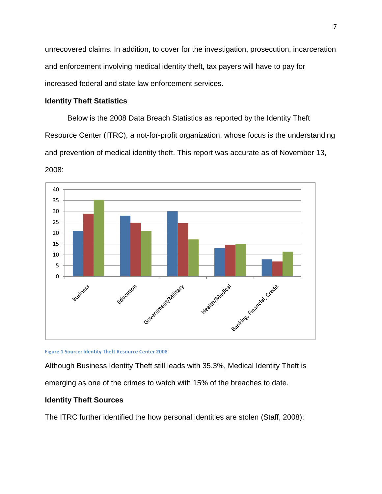unrecovered claims. In addition, to cover for the investigation, prosecution, incarceration and enforcement involving medical identity theft, tax payers will have to pay for increased federal and state law enforcement services.

# **Identity Theft Statistics**

Below is the 2008 Data Breach Statistics as reported by the Identity Theft Resource Center (ITRC), a not-for-profit organization, whose focus is the understanding and prevention of medical identity theft. This report was accurate as of November 13, 2008:





Although Business Identity Theft still leads with 35.3%, Medical Identity Theft is emerging as one of the crimes to watch with 15% of the breaches to date.

# **Identity Theft Sources**

The ITRC further identified the how personal identities are stolen (Staff, 2008):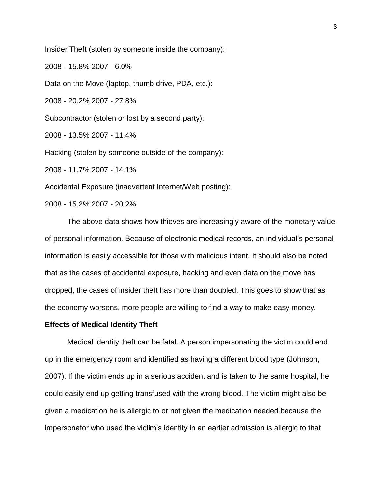Insider Theft (stolen by someone inside the company):

2008 - 15.8% 2007 - 6.0%

Data on the Move (laptop, thumb drive, PDA, etc.):

2008 - 20.2% 2007 - 27.8%

Subcontractor (stolen or lost by a second party):

2008 - 13.5% 2007 - 11.4%

Hacking (stolen by someone outside of the company):

2008 - 11.7% 2007 - 14.1%

Accidental Exposure (inadvertent Internet/Web posting):

2008 - 15.2% 2007 - 20.2%

The above data shows how thieves are increasingly aware of the monetary value of personal information. Because of electronic medical records, an individual's personal information is easily accessible for those with malicious intent. It should also be noted that as the cases of accidental exposure, hacking and even data on the move has dropped, the cases of insider theft has more than doubled. This goes to show that as the economy worsens, more people are willing to find a way to make easy money.

#### **Effects of Medical Identity Theft**

Medical identity theft can be fatal. A person impersonating the victim could end up in the emergency room and identified as having a different blood type (Johnson, 2007). If the victim ends up in a serious accident and is taken to the same hospital, he could easily end up getting transfused with the wrong blood. The victim might also be given a medication he is allergic to or not given the medication needed because the impersonator who used the victim's identity in an earlier admission is allergic to that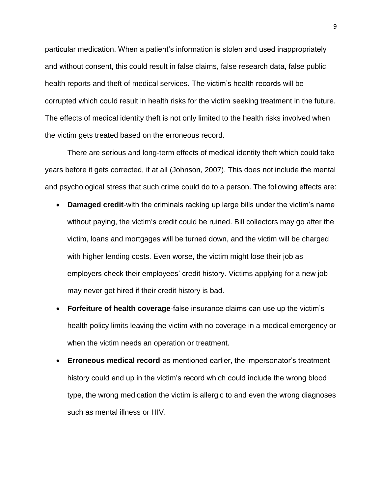particular medication. When a patient's information is stolen and used inappropriately and without consent, this could result in false claims, false research data, false public health reports and theft of medical services. The victim's health records will be corrupted which could result in health risks for the victim seeking treatment in the future. The effects of medical identity theft is not only limited to the health risks involved when the victim gets treated based on the erroneous record.

There are serious and long-term effects of medical identity theft which could take years before it gets corrected, if at all (Johnson, 2007). This does not include the mental and psychological stress that such crime could do to a person. The following effects are:

- **Damaged credit**-with the criminals racking up large bills under the victim's name without paying, the victim's credit could be ruined. Bill collectors may go after the victim, loans and mortgages will be turned down, and the victim will be charged with higher lending costs. Even worse, the victim might lose their job as employers check their employees' credit history. Victims applying for a new job may never get hired if their credit history is bad.
- **Forfeiture of health coverage**-false insurance claims can use up the victim's health policy limits leaving the victim with no coverage in a medical emergency or when the victim needs an operation or treatment.
- **Erroneous medical record**-as mentioned earlier, the impersonator's treatment history could end up in the victim's record which could include the wrong blood type, the wrong medication the victim is allergic to and even the wrong diagnoses such as mental illness or HIV.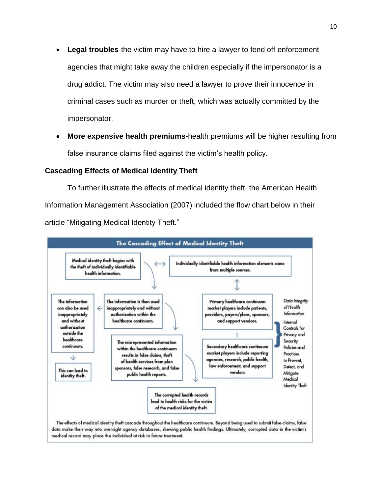- **Legal troubles**-the victim may have to hire a lawyer to fend off enforcement agencies that might take away the children especially if the impersonator is a drug addict. The victim may also need a lawyer to prove their innocence in criminal cases such as murder or theft, which was actually committed by the impersonator.
- **More expensive health premiums**-health premiums will be higher resulting from false insurance claims filed against the victim's health policy.

### **Cascading Effects of Medical Identity Theft**

To further illustrate the effects of medical identity theft, the American Health Information Management Association (2007) included the flow chart below in their article "Mitigating Medical Identity Theft."

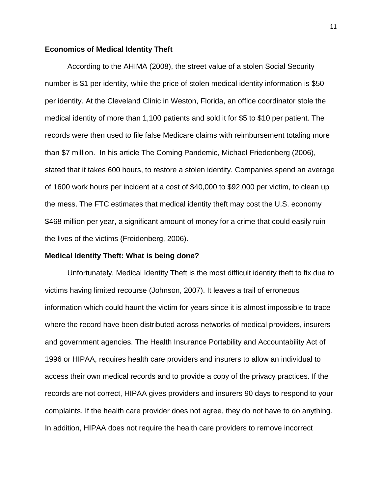### **Economics of Medical Identity Theft**

According to the AHIMA (2008), the street value of a stolen Social Security number is \$1 per identity, while the price of stolen medical identity information is \$50 per identity. At the Cleveland Clinic in Weston, Florida, an office coordinator stole the medical identity of more than 1,100 patients and sold it for \$5 to \$10 per patient. The records were then used to file false Medicare claims with reimbursement totaling more than \$7 million. In his article The Coming Pandemic, Michael Friedenberg (2006), stated that it takes 600 hours, to restore a stolen identity. Companies spend an average of 1600 work hours per incident at a cost of \$40,000 to \$92,000 per victim, to clean up the mess. The FTC estimates that medical identity theft may cost the U.S. economy \$468 million per year, a significant amount of money for a crime that could easily ruin the lives of the victims (Freidenberg, 2006).

#### **Medical Identity Theft: What is being done?**

Unfortunately, Medical Identity Theft is the most difficult identity theft to fix due to victims having limited recourse (Johnson, 2007). It leaves a trail of erroneous information which could haunt the victim for years since it is almost impossible to trace where the record have been distributed across networks of medical providers, insurers and government agencies. The Health Insurance Portability and Accountability Act of 1996 or HIPAA, requires health care providers and insurers to allow an individual to access their own medical records and to provide a copy of the privacy practices. If the records are not correct, HIPAA gives providers and insurers 90 days to respond to your complaints. If the health care provider does not agree, they do not have to do anything. In addition, HIPAA does not require the health care providers to remove incorrect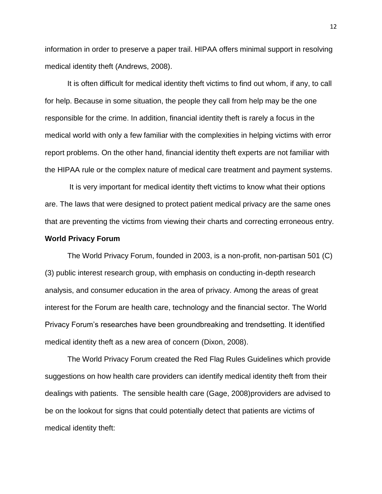information in order to preserve a paper trail. HIPAA offers minimal support in resolving medical identity theft (Andrews, 2008).

It is often difficult for medical identity theft victims to find out whom, if any, to call for help. Because in some situation, the people they call from help may be the one responsible for the crime. In addition, financial identity theft is rarely a focus in the medical world with only a few familiar with the complexities in helping victims with error report problems. On the other hand, financial identity theft experts are not familiar with the HIPAA rule or the complex nature of medical care treatment and payment systems.

It is very important for medical identity theft victims to know what their options are. The laws that were designed to protect patient medical privacy are the same ones that are preventing the victims from viewing their charts and correcting erroneous entry.

### **World Privacy Forum**

The World Privacy Forum, founded in 2003, is a non-profit, non-partisan 501 (C) (3) public interest research group, with emphasis on conducting in-depth research analysis, and consumer education in the area of privacy. Among the areas of great interest for the Forum are health care, technology and the financial sector. The World Privacy Forum's researches have been groundbreaking and trendsetting. It identified medical identity theft as a new area of concern (Dixon, 2008).

The World Privacy Forum created the Red Flag Rules Guidelines which provide suggestions on how health care providers can identify medical identity theft from their dealings with patients. The sensible health care (Gage, 2008)providers are advised to be on the lookout for signs that could potentially detect that patients are victims of medical identity theft: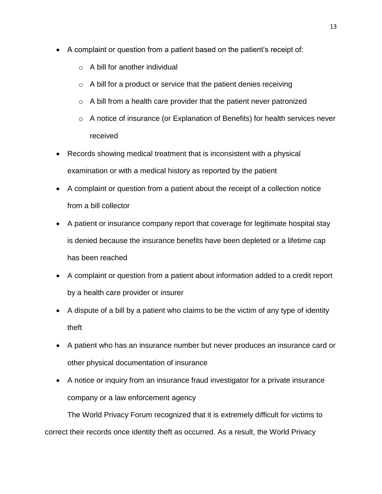- A complaint or question from a patient based on the patient's receipt of:
	- o A bill for another individual
	- $\circ$  A bill for a product or service that the patient denies receiving
	- $\circ$  A bill from a health care provider that the patient never patronized
	- o A notice of insurance (or Explanation of Benefits) for health services never received
- Records showing medical treatment that is inconsistent with a physical examination or with a medical history as reported by the patient
- A complaint or question from a patient about the receipt of a collection notice from a bill collector
- A patient or insurance company report that coverage for legitimate hospital stay is denied because the insurance benefits have been depleted or a lifetime cap has been reached
- A complaint or question from a patient about information added to a credit report by a health care provider or insurer
- A dispute of a bill by a patient who claims to be the victim of any type of identity theft
- A patient who has an insurance number but never produces an insurance card or other physical documentation of insurance
- A notice or inquiry from an insurance fraud investigator for a private insurance company or a law enforcement agency

The World Privacy Forum recognized that it is extremely difficult for victims to correct their records once identity theft as occurred. As a result, the World Privacy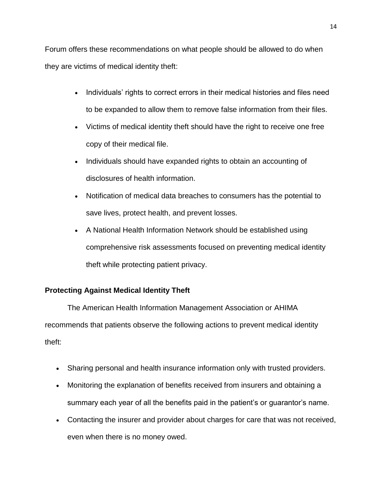Forum offers these recommendations on what people should be allowed to do when they are victims of medical identity theft:

- Individuals' rights to correct errors in their medical histories and files need to be expanded to allow them to remove false information from their files.
- Victims of medical identity theft should have the right to receive one free copy of their medical file.
- Individuals should have expanded rights to obtain an accounting of disclosures of health information.
- Notification of medical data breaches to consumers has the potential to save lives, protect health, and prevent losses.
- A National Health Information Network should be established using comprehensive risk assessments focused on preventing medical identity theft while protecting patient privacy.

# **Protecting Against Medical Identity Theft**

The American Health Information Management Association or AHIMA recommends that patients observe the following actions to prevent medical identity theft:

- Sharing personal and health insurance information only with trusted providers.
- Monitoring the explanation of benefits received from insurers and obtaining a summary each year of all the benefits paid in the patient's or guarantor's name.
- Contacting the insurer and provider about charges for care that was not received, even when there is no money owed.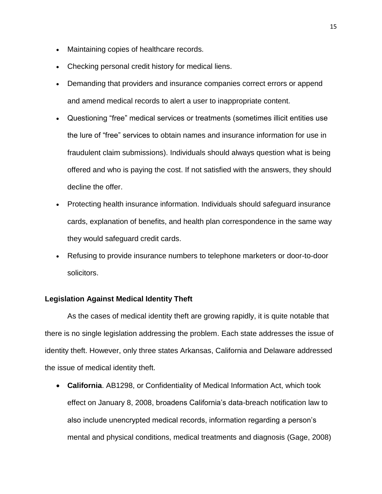- Maintaining copies of healthcare records.
- Checking personal credit history for medical liens.
- Demanding that providers and insurance companies correct errors or append and amend medical records to alert a user to inappropriate content.
- Questioning "free" medical services or treatments (sometimes illicit entities use the lure of "free" services to obtain names and insurance information for use in fraudulent claim submissions). Individuals should always question what is being offered and who is paying the cost. If not satisfied with the answers, they should decline the offer.
- Protecting health insurance information. Individuals should safeguard insurance cards, explanation of benefits, and health plan correspondence in the same way they would safeguard credit cards.
- Refusing to provide insurance numbers to telephone marketers or door-to-door solicitors.

### **Legislation Against Medical Identity Theft**

As the cases of medical identity theft are growing rapidly, it is quite notable that there is no single legislation addressing the problem. Each state addresses the issue of identity theft. However, only three states Arkansas, California and Delaware addressed the issue of medical identity theft.

 **California**. AB1298, or Confidentiality of Medical Information Act, which took effect on January 8, 2008, broadens California's data-breach notification law to also include unencrypted medical records, information regarding a person's mental and physical conditions, medical treatments and diagnosis (Gage, 2008)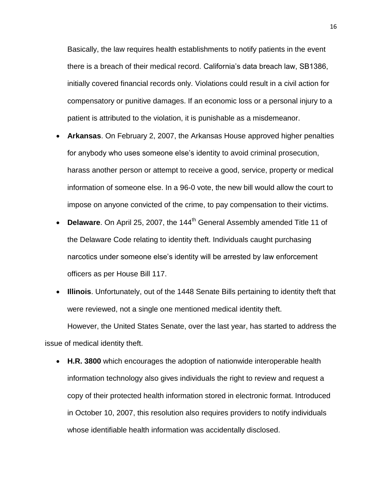Basically, the law requires health establishments to notify patients in the event there is a breach of their medical record. California's data breach law, SB1386, initially covered financial records only. Violations could result in a civil action for compensatory or punitive damages. If an economic loss or a personal injury to a patient is attributed to the violation, it is punishable as a misdemeanor.

- **Arkansas**. On February 2, 2007, the Arkansas House approved higher penalties for anybody who uses someone else's identity to avoid criminal prosecution, harass another person or attempt to receive a good, service, property or medical information of someone else. In a 96-0 vote, the new bill would allow the court to impose on anyone convicted of the crime, to pay compensation to their victims.
- **Delaware.** On April 25, 2007, the 144<sup>th</sup> General Assembly amended Title 11 of the Delaware Code relating to identity theft. Individuals caught purchasing narcotics under someone else's identity will be arrested by law enforcement officers as per House Bill 117.
- **Illinois**. Unfortunately, out of the 1448 Senate Bills pertaining to identity theft that were reviewed, not a single one mentioned medical identity theft. However, the United States Senate, over the last year, has started to address the

issue of medical identity theft.

 **H.R. 3800** which encourages the adoption of nationwide interoperable health information technology also gives individuals the right to review and request a copy of their protected health information stored in electronic format. Introduced in October 10, 2007, this resolution also requires providers to notify individuals whose identifiable health information was accidentally disclosed.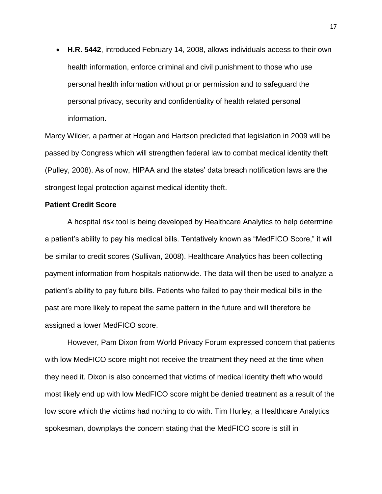**H.R. 5442**, introduced February 14, 2008, allows individuals access to their own health information, enforce criminal and civil punishment to those who use personal health information without prior permission and to safeguard the personal privacy, security and confidentiality of health related personal information.

Marcy Wilder, a partner at Hogan and Hartson predicted that legislation in 2009 will be passed by Congress which will strengthen federal law to combat medical identity theft (Pulley, 2008). As of now, HIPAA and the states' data breach notification laws are the strongest legal protection against medical identity theft.

### **Patient Credit Score**

A hospital risk tool is being developed by Healthcare Analytics to help determine a patient's ability to pay his medical bills. Tentatively known as "MedFICO Score," it will be similar to credit scores (Sullivan, 2008). Healthcare Analytics has been collecting payment information from hospitals nationwide. The data will then be used to analyze a patient's ability to pay future bills. Patients who failed to pay their medical bills in the past are more likely to repeat the same pattern in the future and will therefore be assigned a lower MedFICO score.

However, Pam Dixon from World Privacy Forum expressed concern that patients with low MedFICO score might not receive the treatment they need at the time when they need it. Dixon is also concerned that victims of medical identity theft who would most likely end up with low MedFICO score might be denied treatment as a result of the low score which the victims had nothing to do with. Tim Hurley, a Healthcare Analytics spokesman, downplays the concern stating that the MedFICO score is still in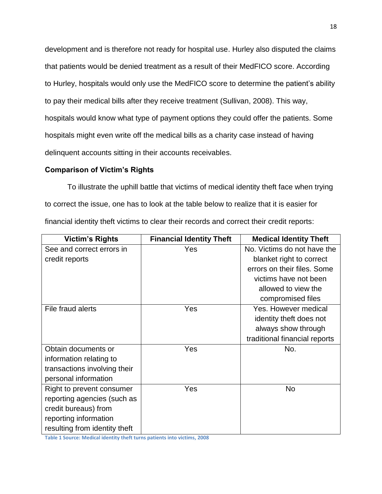development and is therefore not ready for hospital use. Hurley also disputed the claims that patients would be denied treatment as a result of their MedFICO score. According to Hurley, hospitals would only use the MedFICO score to determine the patient's ability to pay their medical bills after they receive treatment (Sullivan, 2008). This way, hospitals would know what type of payment options they could offer the patients. Some hospitals might even write off the medical bills as a charity case instead of having delinquent accounts sitting in their accounts receivables.

### **Comparison of Victim's Rights**

To illustrate the uphill battle that victims of medical identity theft face when trying to correct the issue, one has to look at the table below to realize that it is easier for financial identity theft victims to clear their records and correct their credit reports:

| <b>Victim's Rights</b>        | <b>Financial Identity Theft</b> | <b>Medical Identity Theft</b> |
|-------------------------------|---------------------------------|-------------------------------|
| See and correct errors in     | Yes                             | No. Victims do not have the   |
| credit reports                |                                 | blanket right to correct      |
|                               |                                 | errors on their files. Some   |
|                               |                                 | victims have not been         |
|                               |                                 | allowed to view the           |
|                               |                                 | compromised files             |
| File fraud alerts             | Yes                             | Yes. However medical          |
|                               |                                 | identity theft does not       |
|                               |                                 | always show through           |
|                               |                                 | traditional financial reports |
| Obtain documents or           | Yes                             | No.                           |
| information relating to       |                                 |                               |
| transactions involving their  |                                 |                               |
| personal information          |                                 |                               |
| Right to prevent consumer     | Yes                             | No                            |
| reporting agencies (such as   |                                 |                               |
| credit bureaus) from          |                                 |                               |
| reporting information         |                                 |                               |
| resulting from identity theft |                                 |                               |

**Table 1 Source: Medical identity theft turns patients into victims, 2008**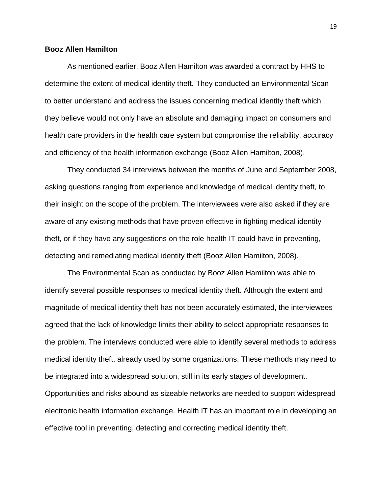### **Booz Allen Hamilton**

As mentioned earlier, Booz Allen Hamilton was awarded a contract by HHS to determine the extent of medical identity theft. They conducted an Environmental Scan to better understand and address the issues concerning medical identity theft which they believe would not only have an absolute and damaging impact on consumers and health care providers in the health care system but compromise the reliability, accuracy and efficiency of the health information exchange (Booz Allen Hamilton, 2008).

They conducted 34 interviews between the months of June and September 2008, asking questions ranging from experience and knowledge of medical identity theft, to their insight on the scope of the problem. The interviewees were also asked if they are aware of any existing methods that have proven effective in fighting medical identity theft, or if they have any suggestions on the role health IT could have in preventing, detecting and remediating medical identity theft (Booz Allen Hamilton, 2008).

The Environmental Scan as conducted by Booz Allen Hamilton was able to identify several possible responses to medical identity theft. Although the extent and magnitude of medical identity theft has not been accurately estimated, the interviewees agreed that the lack of knowledge limits their ability to select appropriate responses to the problem. The interviews conducted were able to identify several methods to address medical identity theft, already used by some organizations. These methods may need to be integrated into a widespread solution, still in its early stages of development.

Opportunities and risks abound as sizeable networks are needed to support widespread electronic health information exchange. Health IT has an important role in developing an effective tool in preventing, detecting and correcting medical identity theft.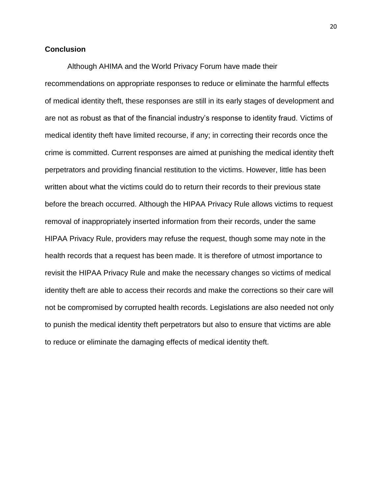## **Conclusion**

Although AHIMA and the World Privacy Forum have made their recommendations on appropriate responses to reduce or eliminate the harmful effects of medical identity theft, these responses are still in its early stages of development and are not as robust as that of the financial industry's response to identity fraud. Victims of medical identity theft have limited recourse, if any; in correcting their records once the crime is committed. Current responses are aimed at punishing the medical identity theft perpetrators and providing financial restitution to the victims. However, little has been written about what the victims could do to return their records to their previous state before the breach occurred. Although the HIPAA Privacy Rule allows victims to request removal of inappropriately inserted information from their records, under the same HIPAA Privacy Rule, providers may refuse the request, though some may note in the health records that a request has been made. It is therefore of utmost importance to revisit the HIPAA Privacy Rule and make the necessary changes so victims of medical identity theft are able to access their records and make the corrections so their care will not be compromised by corrupted health records. Legislations are also needed not only to punish the medical identity theft perpetrators but also to ensure that victims are able to reduce or eliminate the damaging effects of medical identity theft.